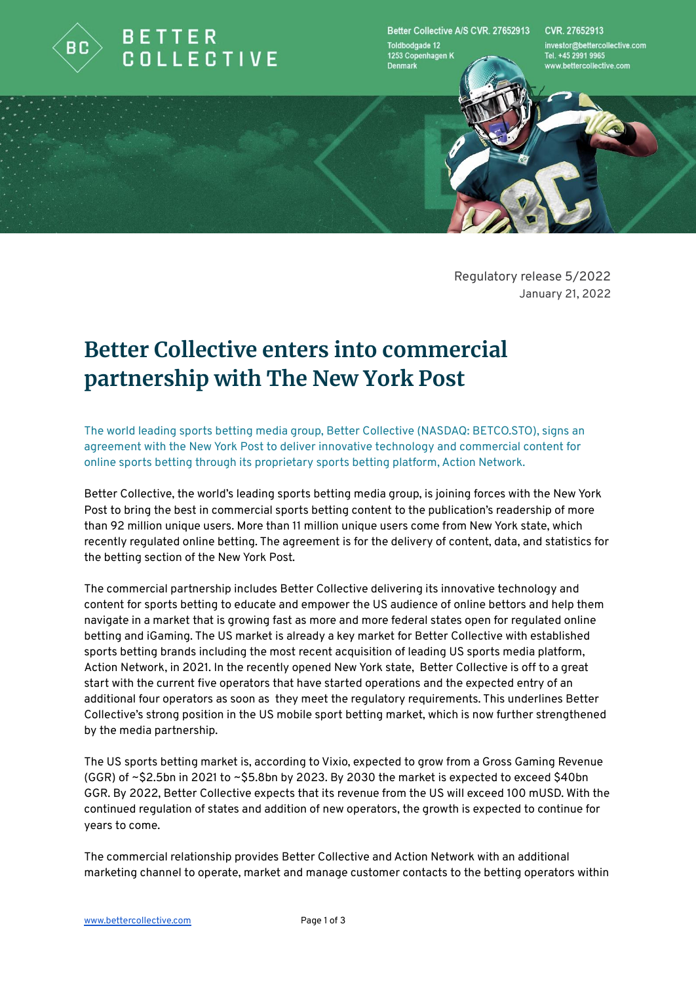

Better Collective A/S CVR. 27652913

**Toldbodgade 12** 1253 Copenhagen K **Denmark** 

CVR 27652913

investor@bettercollective.com<br>Tel. +45 2991 9965 ww.bettercollective.com

Regulatory release 5/2022 January 21, 2022

# **Better Collective enters into commercial partnership with The New York Post**

The world leading sports betting media group, Better Collective (NASDAQ: BETCO.STO), signs an agreement with the New York Post to deliver innovative technology and commercial content for online sports betting through its proprietary sports betting platform, Action Network.

Better Collective, the world's leading sports betting media group, is joining forces with the New York Post to bring the best in commercial sports betting content to the publication's readership of more than 92 million unique users. More than 11 million unique users come from New York state, which recently regulated online betting. The agreement is for the delivery of content, data, and statistics for the betting section of the New York Post.

The commercial partnership includes Better Collective delivering its innovative technology and content for sports betting to educate and empower the US audience of online bettors and help them navigate in a market that is growing fast as more and more federal states open for regulated online betting and iGaming. The US market is already a key market for Better Collective with established sports betting brands including the most recent acquisition of leading US sports media platform, Action Network, in 2021. In the recently opened New York state, Better Collective is off to a great start with the current five operators that have started operations and the expected entry of an additional four operators as soon as they meet the regulatory requirements. This underlines Better Collective's strong position in the US mobile sport betting market, which is now further strengthened by the media partnership.

The US sports betting market is, according to Vixio, expected to grow from a Gross Gaming Revenue (GGR) of ~\$2.5bn in 2021 to ~\$5.8bn by 2023. By 2030 the market is expected to exceed \$40bn GGR. By 2022, Better Collective expects that its revenue from the US will exceed 100 mUSD. With the continued regulation of states and addition of new operators, the growth is expected to continue for years to come.

The commercial relationship provides Better Collective and Action Network with an additional marketing channel to operate, market and manage customer contacts to the betting operators within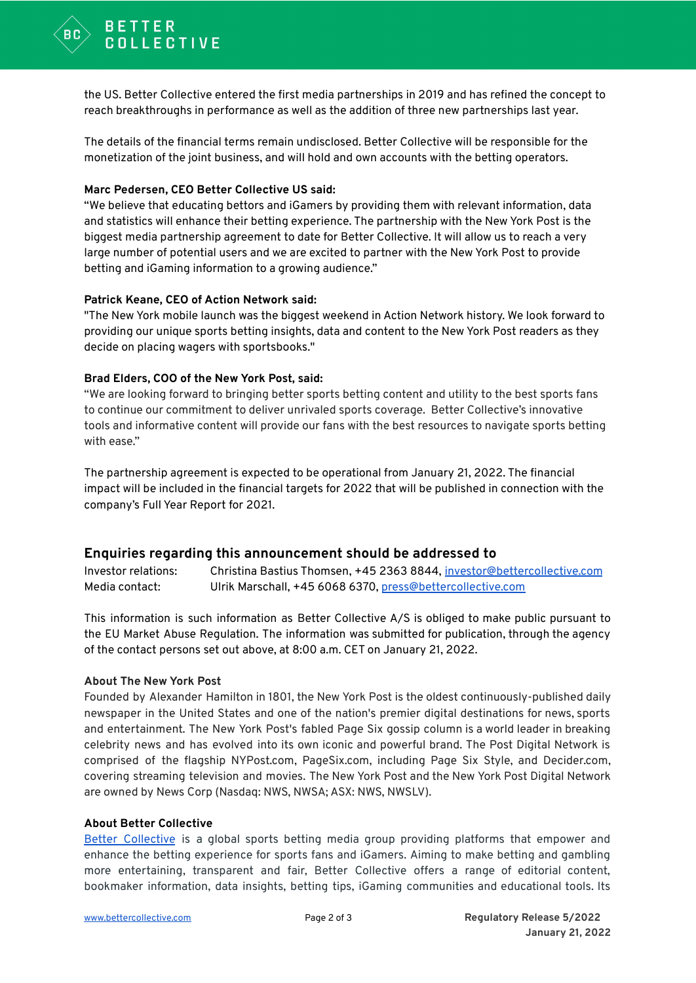the US. Better Collective entered the first media partnerships in 2019 and has refined the concept to reach breakthroughs in performance as well as the addition of three new partnerships last year.

The details of the financial terms remain undisclosed. Better Collective will be responsible for the monetization of the joint business, and will hold and own accounts with the betting operators.

### **Marc Pedersen, CEO Better Collective US said:**

"We believe that educating bettors and iGamers by providing them with relevant information, data and statistics will enhance their betting experience. The partnership with the New York Post is the biggest media partnership agreement to date for Better Collective. It will allow us to reach a very large number of potential users and we are excited to partner with the New York Post to provide betting and iGaming information to a growing audience."

### **Patrick Keane, CEO of Action Network said:**

"The New York mobile launch was the biggest weekend in Action Network history. We look forward to providing our unique sports betting insights, data and content to the New York Post readers as they decide on placing wagers with sportsbooks."

### **Brad Elders, COO of the New York Post, said:**

"We are looking forward to bringing better sports betting content and utility to the best sports fans to continue our commitment to deliver unrivaled sports coverage. Better Collective's innovative tools and informative content will provide our fans with the best resources to navigate sports betting with ease."

The partnership agreement is expected to be operational from January 21, 2022. The financial impact will be included in the financial targets for 2022 that will be published in connection with the company's Full Year Report for 2021.

### **Enquiries regarding this announcement should be addressed to**

Investor relations: Christina Bastius Thomsen, +45 2363 8844, [investor@bettercollective.com](mailto:investor@bettercollective.com) Media contact: Ulrik Marschall, +45 6068 6370, [press@bettercollective.com](mailto:press@bettercollective.com)

This information is such information as Better Collective A/S is obliged to make public pursuant to the EU Market Abuse Regulation. The information was submitted for publication, through the agency of the contact persons set out above, at 8:00 a.m. CET on January 21, 2022.

#### **About The New York Post**

Founded by Alexander Hamilton in 1801, the New York Post is the oldest continuously-published daily newspaper in the United States and one of the nation's premier digital destinations for news, sports and entertainment. The New York Post's fabled Page Six gossip column is a world leader in breaking celebrity news and has evolved into its own iconic and powerful brand. The Post Digital Network is comprised of the flagship NYPost.com, PageSix.com, including Page Six Style, and Decider.com, covering streaming television and movies. The New York Post and the New York Post Digital Network are owned by News Corp (Nasdaq: NWS, NWSA; ASX: NWS, NWSLV).

## **About Better Collective**

Better [Collective](https://bettercollective.com/) is a global sports betting media group providing platforms that empower and enhance the betting experience for sports fans and iGamers. Aiming to make betting and gambling more entertaining, transparent and fair, Better Collective offers a range of editorial content, bookmaker information, data insights, betting tips, iGaming communities and educational tools. Its